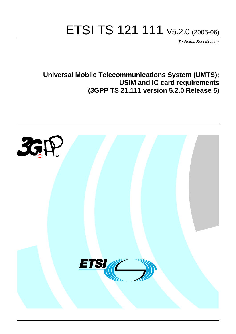# ETSI TS 121 111 V5.2.0 (2005-06)

Technical Specification

**Universal Mobile Telecommunications System (UMTS); USIM and IC card requirements (3GPP TS 21.111 version 5.2.0 Release 5)**

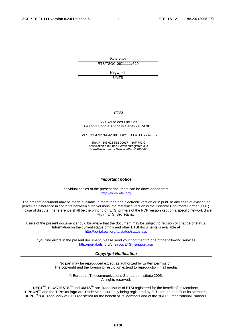Reference RTS/TSGC-0621111v520

> Keywords UMTS

#### **ETSI**

#### 650 Route des Lucioles F-06921 Sophia Antipolis Cedex - FRANCE

Tel.: +33 4 92 94 42 00 Fax: +33 4 93 65 47 16

Siret N° 348 623 562 00017 - NAF 742 C Association à but non lucratif enregistrée à la Sous-Préfecture de Grasse (06) N° 7803/88

#### **Important notice**

Individual copies of the present document can be downloaded from: [http://www.etsi.org](http://www.etsi.org/)

The present document may be made available in more than one electronic version or in print. In any case of existing or perceived difference in contents between such versions, the reference version is the Portable Document Format (PDF). In case of dispute, the reference shall be the printing on ETSI printers of the PDF version kept on a specific network drive within ETSI Secretariat.

Users of the present document should be aware that the document may be subject to revision or change of status. Information on the current status of this and other ETSI documents is available at <http://portal.etsi.org/tb/status/status.asp>

If you find errors in the present document, please send your comment to one of the following services: [http://portal.etsi.org/chaircor/ETSI\\_support.asp](http://portal.etsi.org/chaircor/ETSI_support.asp)

#### **Copyright Notification**

No part may be reproduced except as authorized by written permission. The copyright and the foregoing restriction extend to reproduction in all media.

> © European Telecommunications Standards Institute 2005. All rights reserved.

**DECT**TM, **PLUGTESTS**TM and **UMTS**TM are Trade Marks of ETSI registered for the benefit of its Members. **TIPHON**TM and the **TIPHON logo** are Trade Marks currently being registered by ETSI for the benefit of its Members. **3GPP**TM is a Trade Mark of ETSI registered for the benefit of its Members and of the 3GPP Organizational Partners.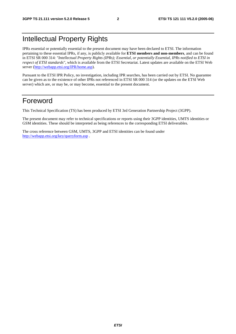### Intellectual Property Rights

IPRs essential or potentially essential to the present document may have been declared to ETSI. The information pertaining to these essential IPRs, if any, is publicly available for **ETSI members and non-members**, and can be found in ETSI SR 000 314: *"Intellectual Property Rights (IPRs); Essential, or potentially Essential, IPRs notified to ETSI in respect of ETSI standards"*, which is available from the ETSI Secretariat. Latest updates are available on the ETSI Web server ([http://webapp.etsi.org/IPR/home.asp\)](http://webapp.etsi.org/IPR/home.asp).

Pursuant to the ETSI IPR Policy, no investigation, including IPR searches, has been carried out by ETSI. No guarantee can be given as to the existence of other IPRs not referenced in ETSI SR 000 314 (or the updates on the ETSI Web server) which are, or may be, or may become, essential to the present document.

### Foreword

This Technical Specification (TS) has been produced by ETSI 3rd Generation Partnership Project (3GPP).

The present document may refer to technical specifications or reports using their 3GPP identities, UMTS identities or GSM identities. These should be interpreted as being references to the corresponding ETSI deliverables.

The cross reference between GSM, UMTS, 3GPP and ETSI identities can be found under <http://webapp.etsi.org/key/queryform.asp>.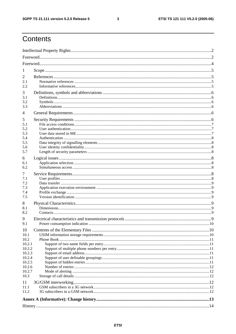$\mathbf{3}$ 

# Contents

| 1                |  |  |  |
|------------------|--|--|--|
| 2                |  |  |  |
| 2.1              |  |  |  |
| 2.2              |  |  |  |
| 3                |  |  |  |
| 3.1              |  |  |  |
| 3.2              |  |  |  |
| 3.3              |  |  |  |
| 4                |  |  |  |
| 5                |  |  |  |
| 5.1<br>5.2       |  |  |  |
| 5.3              |  |  |  |
| 5.4              |  |  |  |
| 5.5              |  |  |  |
| 5.6              |  |  |  |
| 5.7              |  |  |  |
| 6                |  |  |  |
| 6.1<br>6.2       |  |  |  |
|                  |  |  |  |
| 7                |  |  |  |
| 7.1<br>7.2       |  |  |  |
| 7.3              |  |  |  |
| 7.4              |  |  |  |
| 7.5              |  |  |  |
| 8                |  |  |  |
| 8.1              |  |  |  |
| 8.2              |  |  |  |
| 9                |  |  |  |
| 9.1              |  |  |  |
| 10               |  |  |  |
| 10.1             |  |  |  |
| 10.2<br>10.2.1   |  |  |  |
| 10.2.2           |  |  |  |
| 10.2.3           |  |  |  |
| 10.2.4           |  |  |  |
| 10.2.5           |  |  |  |
| 10.2.6<br>10.2.7 |  |  |  |
| 10.3             |  |  |  |
| 11               |  |  |  |
| 11.1             |  |  |  |
| 11.2             |  |  |  |
|                  |  |  |  |
|                  |  |  |  |
|                  |  |  |  |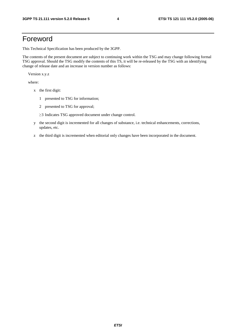### Foreword

This Technical Specification has been produced by the 3GPP.

The contents of the present document are subject to continuing work within the TSG and may change following formal TSG approval. Should the TSG modify the contents of this TS, it will be re-released by the TSG with an identifying change of release date and an increase in version number as follows:

Version x.y.z

where:

- x the first digit:
	- 1 presented to TSG for information;
	- 2 presented to TSG for approval;
	- $\geq$ 3 Indicates TSG approved document under change control.
- y the second digit is incremented for all changes of substance, i.e. technical enhancements, corrections, updates, etc.
- z the third digit is incremented when editorial only changes have been incorporated in the document.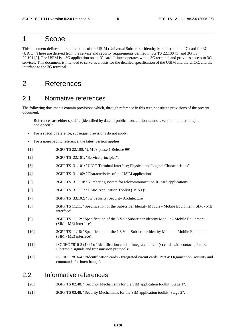#### 1 Scope

This document defines the requirements of the USIM (Universal Subscriber Identity Module) and the IC card for 3G (UICC). These are derived from the service and security requirements defined in 3G TS 22.100 [1] and 3G TS 22.101 [2]. The USIM is a 3G application on an IC card. It inter-operates with a 3G terminal and provides access to 3G services. This document is intended to serve as a basis for the detailed specification of the USIM and the UICC, and the interface to the 3G terminal.

### 2 References

#### 2.1 Normative references

The following documents contain provisions which, through reference in this text, constitute provisions of the present document.

- References are either specific (identified by date of publication, edition number, version number, etc.) or non-specific.
- For a specific reference, subsequent revisions do not apply.
- For a non-specific reference, the latest version applies.
- [1] 3GPP TS 22.100: "UMTS phase 1 Release 99".
- [2] 3GPP TS 22.101: "Service principles".
- [3] 3GPP TS 31.101: "UICC-Terminal Interface; Physical and Logical Characteristics".
- [4] 3GPP TS 31.102: "Characteristics of the USIM application"
- [5] 3GPP TS 31.110: "Numbering system for telecommunication IC card applications".
- [6] 3GPP TS 31.111: "USIM Application Toolkit (USAT)".
- [7] 3GPP TS 33.102: "3G Security: Security Architecture".
- [8] 3GPP TS 11.11: "Specification of the Subscriber Identity Module Mobile Equipment (SIM ME) interface".
- [9] 3GPP TS 11.12: "Specification of the 3 Volt Subscriber Identity Module Mobile Equipment (SIM - ME) interface".
- [10] 3GPP TS 11.18: "Specification of the 1.8 Volt Subscriber Identity Module Mobile Equipment (SIM - ME) interface".
- [11] ISO/IEC 7816-3 (1997): "Identification cards Integrated circuit(s) cards with contacts, Part 3: Electronic signals and transmission protocols".
- [12] ISO/IEC 7816-4 : "Identification cards Integrated circuit cards, Part 4: Organization, security and commands for interchange".

#### 2.2 Informative references

- [20] 3GPP TS 02.48: " Security Mechanisms for the SIM application toolkit; Stage 1".
- [21] 3GPP TS 03.48: "Security Mechanisms for the SIM application toolkit; Stage 2".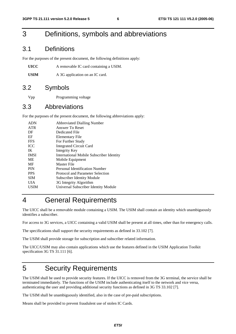### 3 Definitions, symbols and abbreviations

#### 3.1 Definitions

For the purposes of the present document, the following definitions apply:

| UICC | A removable IC card containing a USIM. |
|------|----------------------------------------|
|------|----------------------------------------|

USIM A 3G application on an IC card.

#### 3.2 Symbols

Vpp Programming voltage

#### 3.3 Abbreviations

For the purposes of the present document, the following abbreviations apply:

| <b>ADN</b>  | <b>Abbreviated Dialling Number</b>              |
|-------------|-------------------------------------------------|
| <b>ATR</b>  | Answer To Reset                                 |
| DF          | Dedicated File                                  |
| EF          | Elementary File                                 |
| <b>FFS</b>  | For Further Study                               |
| <b>ICC</b>  | <b>Integrated Circuit Card</b>                  |
| IK          | Integrity Key                                   |
| <b>IMSI</b> | <b>International Mobile Subscriber Identity</b> |
| ME          | Mobile Equipment                                |
| MF          | Master File                                     |
| <b>PIN</b>  | Personal Identification Number                  |
| <b>PPS</b>  | Protocol and Parameter Selection                |
| <b>SIM</b>  | <b>Subscriber Identity Module</b>               |
| UІА         | 3G Integrity Algorithm                          |
| USIM        | Universal Subscriber Identity Module            |
|             |                                                 |

## 4 General Requirements

The UICC shall be a removable module containing a USIM. The USIM shall contain an identity which unambiguously identifies a subscriber.

For access to 3G services, a UICC containing a valid USIM shall be present at all times, other than for emergency calls.

The specifications shall support the security requirements as defined in 33.102 [7].

The USIM shall provide storage for subscription and subscriber related information.

The UICC/USIM may also contain applications which use the features defined in the USIM Application Toolkit specification 3G TS 31.111 [6].

### 5 Security Requirements

The USIM shall be used to provide security features. If the UICC is removed from the 3G terminal, the service shall be terminated immediately. The functions of the USIM include authenticating itself to the network and vice versa, authenticating the user and providing additional security functions as defined in 3G TS 33.102 [7].

The USIM shall be unambiguously identified, also in the case of pre-paid subscriptions.

Means shall be provided to prevent fraudulent use of stolen IC Cards.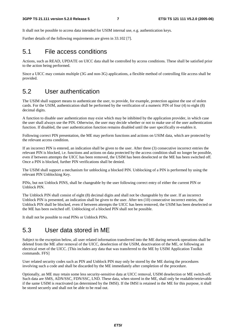It shall not be possible to access data intended for USIM internal use, e.g. authentication keys.

Further details of the following requirements are given in 33.102 [7].

#### 5.1 File access conditions

Actions, such as READ, UPDATE on UICC data shall be controlled by access conditions. These shall be satisfied prior to the action being performed.

Since a UICC may contain multiple (3G and non-3G) applications, a flexible method of controlling file access shall be provided.

#### 5.2 User authentication

The USIM shall support means to authenticate the user, to provide, for example, protection against the use of stolen cards. For the USIM, authentication shall be performed by the verification of a numeric PIN of four (4) to eight (8) decimal digits.

A function to disable user authentication may exist which may be inhibited by the application provider, in which case the user shall always use the PIN. Otherwise, the user may decide whether or not to make use of the user authentication function. If disabled, the user authentication function remains disabled until the user specifically re-enables it.

Following correct PIN presentation, the ME may perform functions and actions on USIM data, which are protected by the relevant access condition.

If an incorrect PIN is entered, an indication shall be given to the user. After three (3) consecutive incorrect entries the relevant PIN is blocked, i.e. functions and actions on data protected by the access condition shall no longer be possible, even if between attempts the UICC has been removed, the USIM has been deselected or the ME has been switched off. Once a PIN is blocked, further PIN verifications shall be denied.

The USIM shall support a mechanism for unblocking a blocked PIN. Unblocking of a PIN is performed by using the relevant PIN Unblocking Key.

PINs, but not Unblock PINS, shall be changeable by the user following correct entry of either the current PIN or Unblock PIN.

The Unblock PIN shall consist of eight (8) decimal digits and shall not be changeable by the user. If an incorrect Unblock PIN is presented, an indication shall be given to the user. After ten (10) consecutive incorrect entries, the Unblock PIN shall be blocked, even if between attempts the UICC has been removed, the USIM has been deselected or the ME has been switched off. Unblocking of a blocked PIN shall not be possible.

It shall not be possible to read PINs or Unblock PINs.

#### 5.3 User data stored in ME

Subject to the exception below, all user related information transferred into the ME during network operations shall be deleted from the ME after removal of the UICC, deselection of the USIM, deactivation of the ME, or following an electrical reset of the UICC. [This includes any data that was transferred to the ME by USIM Application Toolkit commands. FFS]

User related security codes such as PIN and Unblock PIN may only be stored by the ME during the procedures involving such a code and shall be discarded by the ME immediately after completion of the procedure.

Optionally, an ME may retain some less security-sensitive data at UICC removal, USIM deselection or ME switch-off. Such data are SMS, ADN/SSC, FDN/SSC, LND. These data, when stored in the ME, shall only be readable/retrievable if the same USIM is reactivated (as determined by the IMSI). If the IMSI is retained in the ME for this purpose, it shall be stored securely and shall not be able to be read out.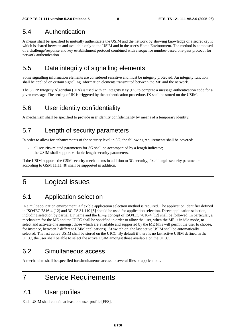### 5.4 Authentication

A means shall be specified to mutually authenticate the USIM and the network by showing knowledge of a secret key K which is shared between and available only to the USIM and in the user's Home Environment. The method is composed of a challenge/response and key establishment protocol combined with a sequence number-based one-pass protocol for network authentication.

### 5.5 Data integrity of signalling elements

Some signalling information elements are considered sensitive and must be integrity protected. An integrity function shall be applied on certain signalling information elements transmitted between the ME and the network.

The 3GPP Integrity Algorithm (UIA) is used with an Integrity Key (IK) to compute a message authentication code for a given message. The setting of IK is triggered by the authentication procedure. IK shall be stored on the USIM.

#### 5.6 User identity confidentiality

A mechanism shall be specified to provide user identity confidentiality by means of a temporary identity.

### 5.7 Length of security parameters

In order to allow for enhancements of the security level in 3G, the following requirements shall be covered:

- all security-related parameters for 3G shall be accompanied by a length indicator;
- the USIM shall support variable-length security parameters.

If the USIM supports the GSM security mechanisms in addition to 3G security, fixed length security parameters according to GSM 11.11 [8] shall be supported in addition.

### 6 Logical issues

### 6.1 Application selection

In a multiapplication environment, a flexible application selection method is required. The application identifier defined in ISO/IEC 7816-4 [12] and 3G TS 31.110 [5] should be used for application selection. Direct application selection, including selection by partial DF name and the  $EF_{\text{DIR}}$  concept of ISO/IEC 7816-4 [12] shall be followed. In particular, a mechanism for the ME and the UICC shall be specified in order to allow the user, when the ME is in idle mode, to select and activate one amongst those which are available and supported by the ME (this will permit the user to choose, for instance, between 2 different USIM applications). At switch on, the last active USIM shall be automatically selected. The last active USIM shall be stored on the UICC. By default if there is no last active USIM defined in the UICC, the user shall be able to select the active USIM amongst those available on the UICC.

#### 6.2 Simultaneous access

A mechanism shall be specified for simultaneous access to several files or applications.

### 7 Service Requirements

#### 7.1 User profiles

Each USIM shall contain at least one user profile [FFS].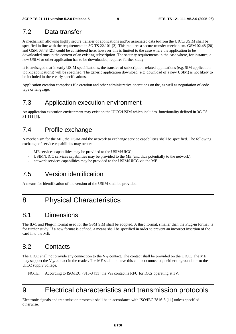#### 7.2 Data transfer

A mechanism allowing highly secure transfer of applications and/or associated data to/from the UICC/USIM shall be specified in line with the requirements in 3G TS 22.101 [2]. This requires a secure transfer mechanism. GSM 02.48 [20] and GSM 03.48 [21] could be considered here, however this is limited to the case where the application to be downloaded runs in the context of an existing subscription. The security requirements in the case where, for instance, a new USIM or other application has to be downloaded, requires further study.

It is envisaged that in early USIM specifications, the transfer of subscription-related applications (e.g. SIM application toolkit applications) will be specified. The generic application download (e.g. download of a new USIM) is not likely to be included in these early specifications.

Application creation comprises file creation and other administrative operations on the, as well as negotiation of code type or language.

#### 7.3 Application execution environment

An application execution environment may exist on the UICC/USIM which includes functionality defined in 3G TS 31.111 [6].

#### 7.4 Profile exchange

A mechanism for the ME, the USIM and the network to exchange service capabilities shall be specified. The following exchange of service capabilities may occur:

- ME services capabilities may be provided to the USIM/UICC;
- USIM/UICC services capabilities may be provided to the ME (and thus potentially to the network);
- network services capabilities may be provided to the USIM/UICC via the ME.

### 7.5 Version identification

A means for identification of the version of the USIM shall be provided.

### 8 Physical Characteristics

#### 8.1 Dimensions

The ID-1 and Plug-in format used for the GSM SIM shall be adopted. A third format, smaller than the Plug-in format, is for further study. If a new format is defined, a means shall be specified in order to prevent an incorrect insertion of the card into the ME.

#### 8.2 Contacts

The UICC shall not provide any connection to the V<sub>PP</sub> contact. The contact shall be provided on the UICC. The ME may support the  $V_{PP}$  contact in the reader. The ME shall not have this contact connected; neither to ground nor to the UICC supply voltage.

NOTE: According to ISO/IEC 7816-3 [11] the V<sub>PP</sub> contact is RFU for ICCs operating at 3V.

# 9 Electrical characteristics and transmission protocols

Electronic signals and transmission protocols shall be in accordance with ISO/IEC 7816-3 [11] unless specified otherwise.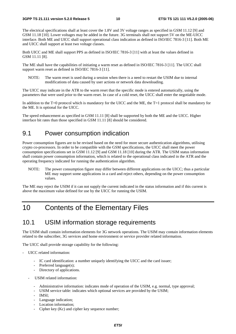The electrical specifications shall at least cover the 1.8V and 3V voltage ranges as specified in GSM 11.12 [9] and GSM 11.18 [10]. Lower voltages may be added in the future. 3G terminals shall not support 5V on the ME-UICC interface. Both ME and UICC shall support operational class indication as defined in ISO/IEC 7816-3 [11]. Both ME and UICC shall support at least two voltage classes.

Both UICC and ME shall support PPS as defined in ISO/IEC 7816-3 [11] with at least the values defined in GSM 11.11 [8].

The ME shall have the capabilities of initiating a warm reset as defined in ISO/IEC 7816-3 [11]. The UICC shall support warm reset as defined in ISO/IEC 7816-3 [11].

NOTE: The warm reset is used during a session when there is a need to restart the USIM due to internal modifications of data caused by user actions or network data downloading.

The UICC may indicate in the ATR to the warm reset that the specific mode is entered automatically, using the parameters that were used prior to the warm reset. In case of a cold reset, the UICC shall enter the negotiable mode.

In addition to the T=0 protocol which is mandatory for the UICC and the ME, the T=1 protocol shall be mandatory for the ME. It is optional for the UICC.

The speed enhancement as specified in GSM 11.11 [8] shall be supported by both the ME and the UICC. Higher interface bit rates than those specified in GSM 11.11 [8] should be considered.

#### 9.1 Power consumption indication

Power consumption figures are to be revised based on the need for more secure authentication algorithms, utilising crypto co-processors. In order to be compatible with the GSM specifications, the UICC shall meet the power consumption specifications set in GSM 11.12 [9] and GSM 11.18 [10] during the ATR. The USIM status information shall contain power consumption information, which is related to the operational class indicated in the ATR and the operating frequency indicated for running the authentication algorithm.

NOTE: The power consumption figure may differ between different applications on the UICC; thus a particular ME may support some applications in a card and reject others, depending on the power consumption values.

The ME may reject the USIM if it can not supply the current indicated in the status information and if this current is above the maximum value defined for use by the UICC for running the USIM.

### 10 Contents of the Elementary Files

#### 10.1 USIM information storage requirements

The USIM shall contain information elements for 3G network operations. The USIM may contain information elements related to the subscriber, 3G services and home environment or service provider related information.

The UICC shall provide storage capability for the following:

- UICC related information:
	- IC card identification: a number uniquely identifying the UICC and the card issuer;
	- Preferred language(s);
	- Directory of applications.
	- USIM related information:
		- Administrative information: indicates mode of operation of the USIM, e.g. normal, type approval;
		- USIM service table: indicates which optional services are provided by the USIM;
		- IMSI:
		- Language indication;
		- Location information;
		- Cipher key (Kc) and cipher key sequence number;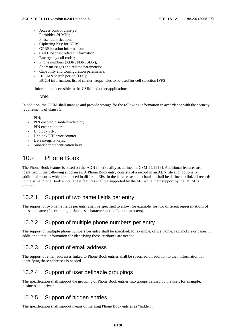- Access control class(es):
- Forbidden PLMNs:
- Phase identification;
- Ciphering Key for GPRS;
- GPRS location information;
- Cell Broadcast related information;
- Emergency call codes;
- Phone numbers (ADN, FDN, SDN);
- Short messages and related parameters;
- Capability and Configuration parameters;
- HPLMN search period [FFS];
- BCCH information: list of carrier frequencies to be used for cell selection [FFS].
- Information accessible to the USIM and other applications:

#### - ADN.

In addition, the USIM shall manage and provide storage for the following information in accordance with the security requirements of clause 5:

- $PIN$
- PIN enabled/disabled indicator;
- PIN error counter:
- Unblock PIN;
- Unblock PIN error counter:
- Data integrity keys;
- Subscriber authentication keys.

### 10.2 Phone Book

The Phone Book feature is based on the ADN functionality as defined in GSM 11.11 [8]. Additional features are identified in the following subclauses. A Phone Book entry consists of a record in an ADN file and, optionally, additional records which are placed in different EFs. In the latter case, a mechanism shall be defined to link all records in the same Phone Book entry. These features shall be supported by the ME while their support by the USIM is optional.

#### 10.2.1 Support of two name fields per entry

The support of two name fields per entry shall be specified to allow, for example, for two different representations of the same name (for example, in Japanese characters and in Latin characters).

#### 10.2.2 Support of multiple phone numbers per entry

The support of multiple phone numbers per entry shall be specified, for example, office, home, fax, mobile or pager. In addition to that, information for identifying those attributes are needed.

#### 10.2.3 Support of email address

The support of email addresses linked to Phone Book entries shall be specified. In addition to that, information for identifying these addresses is needed.

#### 10.2.4 Support of user definable groupings

The specification shall support the grouping of Phone Book entries into groups defined by the user, for example, business and private.

#### 10.2.5 Support of hidden entries

The specification shall support means of marking Phone Book entries as "hidden".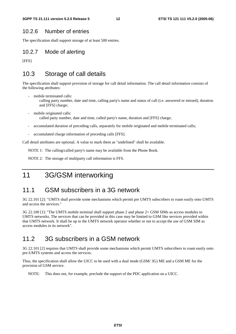#### 10.2.6 Number of entries

The specification shall support storage of at least 500 entries.

#### 10.2.7 Mode of alerting

[FFS]

#### 10.3 Storage of call details

The specification shall support provision of storage for call detail information. The call detail information consists of the following attributes:

- mobile terminated calls:
	- calling party number, date and time, calling party's name and status of call (i.e. answered or missed), duration and [FFS] charge;
- mobile originated calls: called party number, date and time, called party's name, duration and [FFS] charge;
- accumulated duration of preceding calls, separately for mobile originated and mobile terminated calls;
- accumulated charge information of preceding calls [FFS].

Call detail attributes are optional. A value to mark them as "undefined" shall be available.

NOTE 1: The calling/called party's name may be available from the Phone Book.

NOTE 2: The storage of multiparty call information is FFS.

### 11 3G/GSM interworking

#### 11.1 GSM subscribers in a 3G network

3G 22.101 [2]: "UMTS shall provide some mechanisms which permit pre UMTS subscribers to roam easily onto UMTS and access the services."

3G 22.100 [1]: "The UMTS mobile terminal shall support phase 2 and phase 2+ GSM SIMs as access modules to UMTS networks. The services that can be provided in this case may be limited to GSM like services provided within that UMTS network. It shall be up to the UMTS network operator whether or not to accept the use of GSM SIM as access modules in its network".

#### 11.2 3G subscribers in a GSM network

3G 22.101 [2] requires that UMTS shall provide some mechanisms which permit UMTS subscribers to roam easily onto pre-UMTS systems and access the services.

Thus, the specification shall allow the UICC to be used with a dual mode (GSM/ 3G) ME and a GSM ME for the provision of GSM service.

NOTE: This does not, for example, preclude the support of the PDC application on a UICC.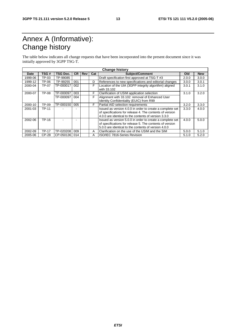# Annex A (Informative): Change history

The table below indicates all change requests that have been incorporated into the present document since it was initially approved by 3GPP TSG-T.

| <b>Change history</b> |              |                 |           |            |     |                                                                                                                                                                               |       |            |
|-----------------------|--------------|-----------------|-----------|------------|-----|-------------------------------------------------------------------------------------------------------------------------------------------------------------------------------|-------|------------|
| Date                  | TSG#         | <b>TSG Doc.</b> | <b>CR</b> | <b>Rev</b> | Cat | Subject/Comment                                                                                                                                                               | Old   | <b>New</b> |
| 1999-06               | TP-03        | TP-99085        |           |            |     | Draft specification first approved at TSG-T #3                                                                                                                                | 2.0.0 | 3.0.0      |
| 1999-12               | TP-06        | TP-99255        | 001       |            | D   | References to new specifications and editorial changes                                                                                                                        | 3.0.0 | 3.0.1      |
| 2000-04               | TP-07        | TP-000017       | 002       |            | F   | Location of the UIA (3GPP integrity algorithm) aligned<br>with 33.102                                                                                                         | 3.0.1 | 3.1.0      |
| 2000-07               | TP-08        | TP-000097       | 003       |            | F   | Clarification of USIM application selection                                                                                                                                   | 3.1.0 | 3.2.0      |
|                       |              | TP-000097       | 004       |            | F   | Alignment with 33.102: removal of Enhanced User<br>Identity Confidentiality (EUIC) from R99                                                                                   |       |            |
| 2000-10               | TP-09        | TP-000150       | 005       |            | F   | Partial AID selection requirements                                                                                                                                            | 3.2.0 | 3.3.0      |
| 2001-03               | <b>TP-11</b> |                 |           |            |     | Issued as version 4.0.0 in order to create a complete set<br>of specifications for release 4. The contents of version<br>4.0.0 are identical to the contents of version 3.3.0 | 3.3.0 | 4.0.0      |
| 2002-06               | TP-16        |                 |           |            |     | Issued as version 5.0.0 in order to create a complete set<br>of specifications for release 5. The contents of version<br>5.0.0 are identical to the contents of version 4.0.0 | 4.0.0 | 5.0.0      |
| 2002-09               | <b>TP-17</b> | TP-020208       | 009       |            | A   | Clarification on the use of the USIM and the SIM                                                                                                                              | 5.0.0 | 5.1.0      |
| 2005-06               | <b>CP-28</b> | CP-050136       | 014       |            | A   | ISO/IEC 7816-Series Revision                                                                                                                                                  | 5.1.0 | 5.2.0      |